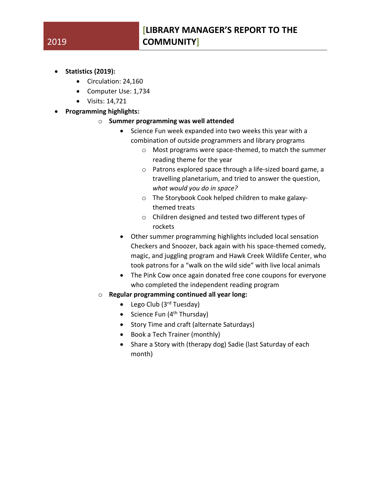- **Statistics (2019):**
	- Circulation: 24,160
	- Computer Use: 1,734
	- Visits: 14,721
- **Programming highlights:**
	- o **Summer programming was well attended**
		- Science Fun week expanded into two weeks this year with a combination of outside programmers and library programs
			- o Most programs were space-themed, to match the summer reading theme for the year
			- o Patrons explored space through a life-sized board game, a travelling planetarium, and tried to answer the question, *what would you do in space?*
			- o The Storybook Cook helped children to make galaxythemed treats
			- o Children designed and tested two different types of rockets
		- Other summer programming highlights included local sensation Checkers and Snoozer, back again with his space-themed comedy, magic, and juggling program and Hawk Creek Wildlife Center, who took patrons for a "walk on the wild side" with live local animals
		- The Pink Cow once again donated free cone coupons for everyone who completed the independent reading program
	- o **Regular programming continued all year long:**
		- Lego Club  $(3<sup>rd</sup> Tuesday)$
		- Science Fun  $(4<sup>th</sup> Thursday)$
		- Story Time and craft (alternate Saturdays)
		- Book a Tech Trainer (monthly)
		- Share a Story with (therapy dog) Sadie (last Saturday of each month)

## 2019